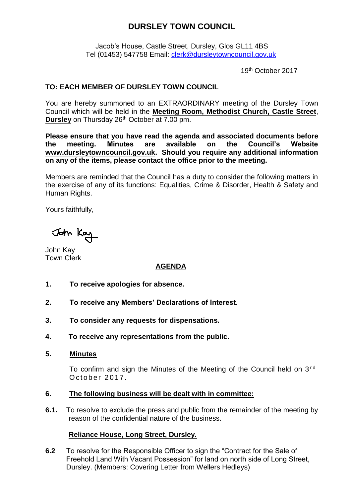# **DURSLEY TOWN COUNCIL**

Jacob's House, Castle Street, Dursley, Glos GL11 4BS Tel (01453) 547758 Email: [clerk@dursleytowncouncil.gov.uk](mailto:clerk@dursleytowncouncil.gov.uk)

19th October 2017

# **TO: EACH MEMBER OF DURSLEY TOWN COUNCIL**

You are hereby summoned to an EXTRAORDINARY meeting of the Dursley Town Council which will be held in the **Meeting Room, Methodist Church, Castle Street**, **Dursley** on Thursday 26<sup>th</sup> October at 7.00 pm.

**Please ensure that you have read the agenda and associated documents before the meeting. Minutes are available on the Council's Website [www.dursleytowncouncil.gov.uk.](http://www.dursleytowncouncil.gov.uk/) Should you require any additional information on any of the items, please contact the office prior to the meeting.** 

Members are reminded that the Council has a duty to consider the following matters in the exercise of any of its functions: Equalities, Crime & Disorder, Health & Safety and Human Rights.

Yours faithfully,

John Kay

John Kay Town Clerk

## **AGENDA**

- **1. To receive apologies for absence.**
- **2. To receive any Members' Declarations of Interest.**
- **3. To consider any requests for dispensations.**
- **4. To receive any representations from the public.**
- **5. Minutes**

To confirm and sign the Minutes of the Meeting of the Council held on  $3<sup>rd</sup>$ October 2017.

#### **6. The following business will be dealt with in committee:**

**6.1.** To resolve to exclude the press and public from the remainder of the meeting by reason of the confidential nature of the business.

## **Reliance House, Long Street, Dursley.**

**6.2** To resolve for the Responsible Officer to sign the "Contract for the Sale of Freehold Land With Vacant Possession" for land on north side of Long Street, Dursley. (Members: Covering Letter from Wellers Hedleys)